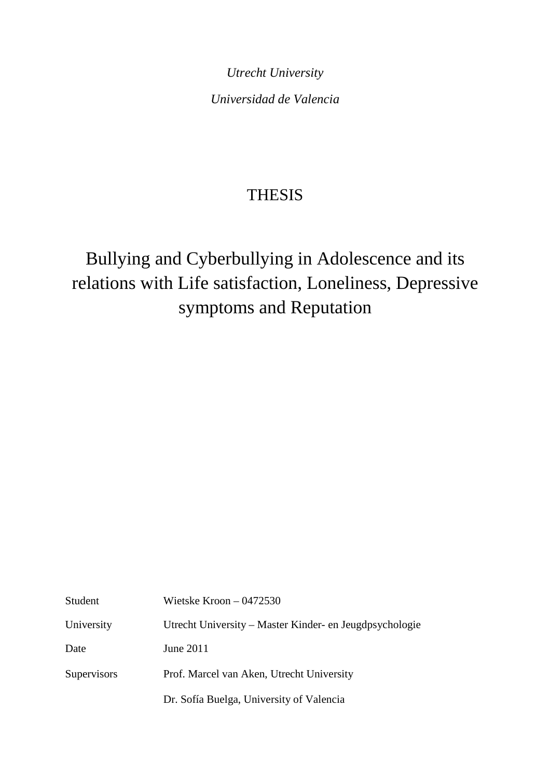*Utrecht University Universidad de Valencia* 

# **THESIS**

# Bullying and Cyberbullying in Adolescence and its relations with Life satisfaction, Loneliness, Depressive symptoms and Reputation

| Student     | Wietske Kroon $-0472530$                                |
|-------------|---------------------------------------------------------|
| University  | Utrecht University – Master Kinder- en Jeugdpsychologie |
| Date        | June 2011                                               |
| Supervisors | Prof. Marcel van Aken, Utrecht University               |
|             | Dr. Sofía Buelga, University of Valencia                |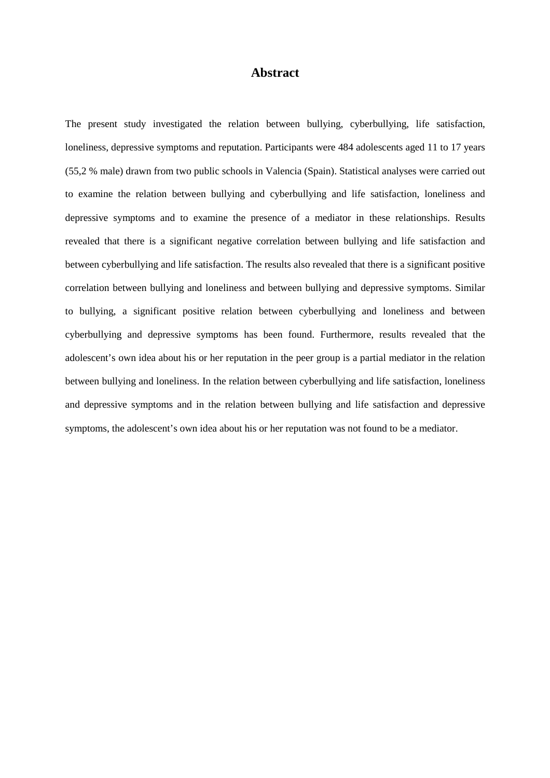### **Abstract**

The present study investigated the relation between bullying, cyberbullying, life satisfaction, loneliness, depressive symptoms and reputation. Participants were 484 adolescents aged 11 to 17 years (55,2 % male) drawn from two public schools in Valencia (Spain). Statistical analyses were carried out to examine the relation between bullying and cyberbullying and life satisfaction, loneliness and depressive symptoms and to examine the presence of a mediator in these relationships. Results revealed that there is a significant negative correlation between bullying and life satisfaction and between cyberbullying and life satisfaction. The results also revealed that there is a significant positive correlation between bullying and loneliness and between bullying and depressive symptoms. Similar to bullying, a significant positive relation between cyberbullying and loneliness and between cyberbullying and depressive symptoms has been found. Furthermore, results revealed that the adolescent's own idea about his or her reputation in the peer group is a partial mediator in the relation between bullying and loneliness. In the relation between cyberbullying and life satisfaction, loneliness and depressive symptoms and in the relation between bullying and life satisfaction and depressive symptoms, the adolescent's own idea about his or her reputation was not found to be a mediator.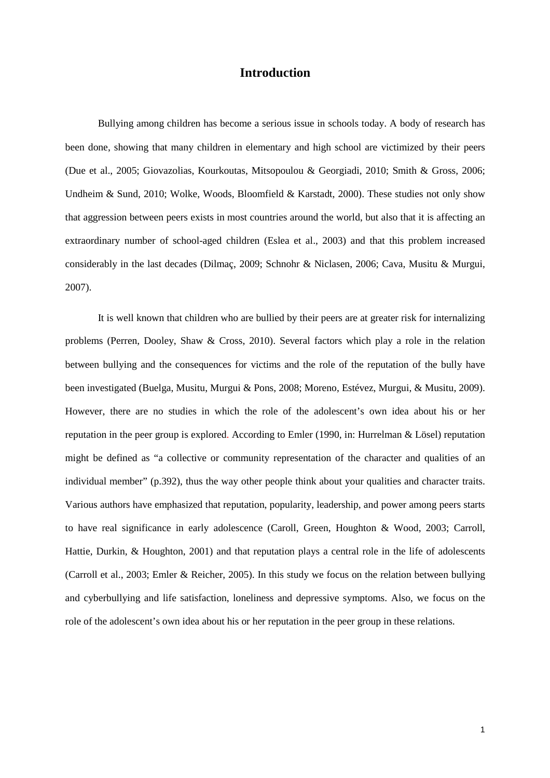# **Introduction**

Bullying among children has become a serious issue in schools today. A body of research has been done, showing that many children in elementary and high school are victimized by their peers (Due et al., 2005; Giovazolias, Kourkoutas, Mitsopoulou & Georgiadi, 2010; Smith & Gross, 2006; Undheim & Sund, 2010; Wolke, Woods, Bloomfield & Karstadt, 2000). These studies not only show that aggression between peers exists in most countries around the world, but also that it is affecting an extraordinary number of school-aged children (Eslea et al., 2003) and that this problem increased considerably in the last decades (Dilmaç, 2009; Schnohr & Niclasen, 2006; Cava, Musitu & Murgui, 2007).

It is well known that children who are bullied by their peers are at greater risk for internalizing problems (Perren, Dooley, Shaw & Cross, 2010). Several factors which play a role in the relation between bullying and the consequences for victims and the role of the reputation of the bully have been investigated (Buelga, Musitu, Murgui & Pons, 2008; Moreno, Estévez, Murgui, & Musitu, 2009). However, there are no studies in which the role of the adolescent's own idea about his or her reputation in the peer group is explored. According to Emler (1990, in: Hurrelman & Lösel) reputation might be defined as "a collective or community representation of the character and qualities of an individual member" (p.392), thus the way other people think about your qualities and character traits. Various authors have emphasized that reputation, popularity, leadership, and power among peers starts to have real significance in early adolescence (Caroll, Green, Houghton & Wood, 2003; Carroll, Hattie, Durkin, & Houghton, 2001) and that reputation plays a central role in the life of adolescents (Carroll et al., 2003; Emler & Reicher, 2005). In this study we focus on the relation between bullying and cyberbullying and life satisfaction, loneliness and depressive symptoms. Also, we focus on the role of the adolescent's own idea about his or her reputation in the peer group in these relations.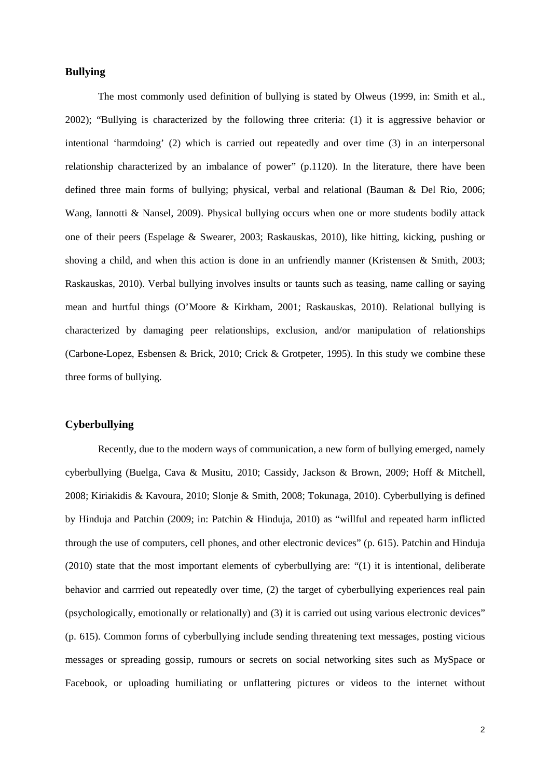#### **Bullying**

The most commonly used definition of bullying is stated by Olweus (1999, in: Smith et al., 2002); "Bullying is characterized by the following three criteria: (1) it is aggressive behavior or intentional 'harmdoing' (2) which is carried out repeatedly and over time (3) in an interpersonal relationship characterized by an imbalance of power" (p.1120). In the literature, there have been defined three main forms of bullying; physical, verbal and relational (Bauman & Del Rio, 2006; Wang, Iannotti & Nansel, 2009). Physical bullying occurs when one or more students bodily attack one of their peers (Espelage & Swearer, 2003; Raskauskas, 2010), like hitting, kicking, pushing or shoving a child, and when this action is done in an unfriendly manner (Kristensen & Smith, 2003; Raskauskas, 2010). Verbal bullying involves insults or taunts such as teasing, name calling or saying mean and hurtful things (O'Moore & Kirkham, 2001; Raskauskas, 2010). Relational bullying is characterized by damaging peer relationships, exclusion, and/or manipulation of relationships (Carbone-Lopez, Esbensen & Brick, 2010; Crick & Grotpeter, 1995). In this study we combine these three forms of bullying.

#### **Cyberbullying**

Recently, due to the modern ways of communication, a new form of bullying emerged, namely cyberbullying (Buelga, Cava & Musitu, 2010; Cassidy, Jackson & Brown, 2009; Hoff & Mitchell, 2008; Kiriakidis & Kavoura, 2010; Slonje & Smith, 2008; Tokunaga, 2010). Cyberbullying is defined by Hinduja and Patchin (2009; in: Patchin & Hinduja, 2010) as "willful and repeated harm inflicted through the use of computers, cell phones, and other electronic devices" (p. 615). Patchin and Hinduja (2010) state that the most important elements of cyberbullying are: "(1) it is intentional, deliberate behavior and carrried out repeatedly over time, (2) the target of cyberbullying experiences real pain (psychologically, emotionally or relationally) and (3) it is carried out using various electronic devices" (p. 615). Common forms of cyberbullying include sending threatening text messages, posting vicious messages or spreading gossip, rumours or secrets on social networking sites such as MySpace or Facebook, or uploading humiliating or unflattering pictures or videos to the internet without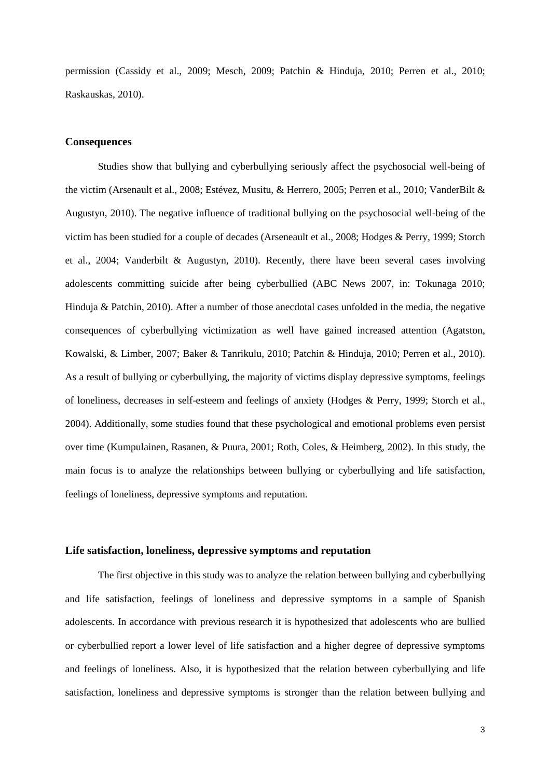permission (Cassidy et al., 2009; Mesch, 2009; Patchin & Hinduja, 2010; Perren et al., 2010; Raskauskas, 2010).

#### **Consequences**

Studies show that bullying and cyberbullying seriously affect the psychosocial well-being of the victim (Arsenault et al., 2008; Estévez, Musitu, & Herrero, 2005; Perren et al., 2010; VanderBilt & Augustyn, 2010). The negative influence of traditional bullying on the psychosocial well-being of the victim has been studied for a couple of decades (Arseneault et al., 2008; Hodges & Perry, 1999; Storch et al., 2004; Vanderbilt & Augustyn, 2010). Recently, there have been several cases involving adolescents committing suicide after being cyberbullied (ABC News 2007, in: Tokunaga 2010; Hinduja & Patchin, 2010). After a number of those anecdotal cases unfolded in the media, the negative consequences of cyberbullying victimization as well have gained increased attention (Agatston, Kowalski, & Limber, 2007; Baker & Tanrikulu, 2010; Patchin & Hinduja, 2010; Perren et al., 2010). As a result of bullying or cyberbullying, the majority of victims display depressive symptoms, feelings of loneliness, decreases in self-esteem and feelings of anxiety (Hodges & Perry, 1999; Storch et al., 2004). Additionally, some studies found that these psychological and emotional problems even persist over time (Kumpulainen, Rasanen, & Puura, 2001; Roth, Coles, & Heimberg, 2002). In this study, the main focus is to analyze the relationships between bullying or cyberbullying and life satisfaction, feelings of loneliness, depressive symptoms and reputation.

#### **Life satisfaction, loneliness, depressive symptoms and reputation**

The first objective in this study was to analyze the relation between bullying and cyberbullying and life satisfaction, feelings of loneliness and depressive symptoms in a sample of Spanish adolescents. In accordance with previous research it is hypothesized that adolescents who are bullied or cyberbullied report a lower level of life satisfaction and a higher degree of depressive symptoms and feelings of loneliness. Also, it is hypothesized that the relation between cyberbullying and life satisfaction, loneliness and depressive symptoms is stronger than the relation between bullying and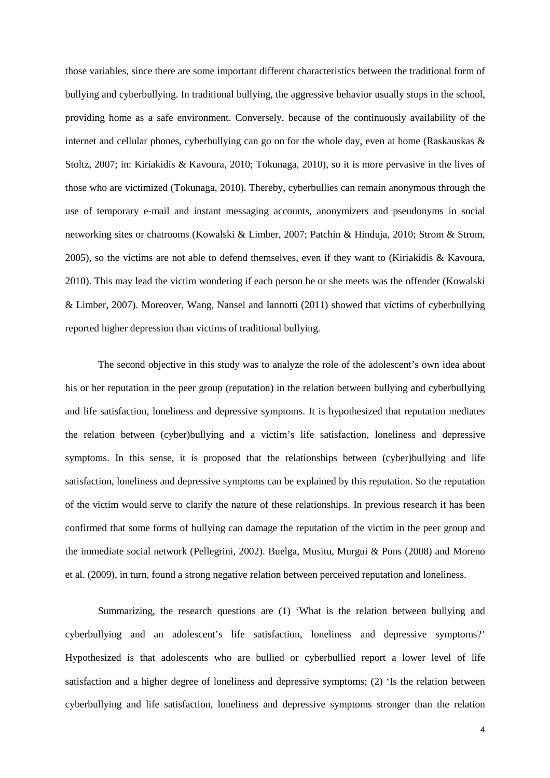those variables, since there are some important different characteristics between the traditional form of bullying and cyberbullying. In traditional bullying, the aggressive behavior usually stops in the school, providing home as a safe environment. Conversely, because of the continuously availability of the internet and cellular phones, cyberbullying can go on for the whole day, even at home (Raskauskas  $\&$ Stoltz, 2007; in: Kiriakidis & Kavoura, 2010; Tokunaga, 2010), so it is more pervasive in the lives of those who are victimized (Tokunaga, 2010). Thereby, cyberbullies can remain anonymous through the use of temporary e-mail and instant messaging accounts, anonymizers and pseudonyms in social networking sites or chatrooms (Kowalski & Limber, 2007; Patchin & Hinduja, 2010; Strom & Strom, 2005), so the victims are not able to defend themselves, even if they want to (Kiriakidis & Kavoura, 2010). This may lead the victim wondering if each person he or she meets was the offender (Kowalski & Limber, 2007). Moreover, Wang, Nansel and Iannotti (2011) showed that victims of cyberbullying reported higher depression than victims of traditional bullying.

The second objective in this study was to analyze the role of the adolescent's own idea about his or her reputation in the peer group (reputation) in the relation between bullying and cyberbullying and life satisfaction, loneliness and depressive symptoms. It is hypothesized that reputation mediates the relation between (cyber)bullying and a victim's life satisfaction, loneliness and depressive symptoms. In this sense, it is proposed that the relationships between (cyber)bullying and life satisfaction, loneliness and depressive symptoms can be explained by this reputation. So the reputation of the victim would serve to clarify the nature of these relationships. In previous research it has been confirmed that some forms of bullying can damage the reputation of the victim in the peer group and the immediate social network (Pellegrini, 2002). Buelga, Musitu, Murgui & Pons (2008) and Moreno et al. (2009), in turn, found a strong negative relation between perceived reputation and loneliness.

Summarizing, the research questions are (1) 'What is the relation between bullying and cyberbullying and an adolescent's life satisfaction, loneliness and depressive symptoms?' Hypothesized is that adolescents who are bullied or cyberbullied report a lower level of life satisfaction and a higher degree of loneliness and depressive symptoms; (2) 'Is the relation between cyberbullying and life satisfaction, loneliness and depressive symptoms stronger than the relation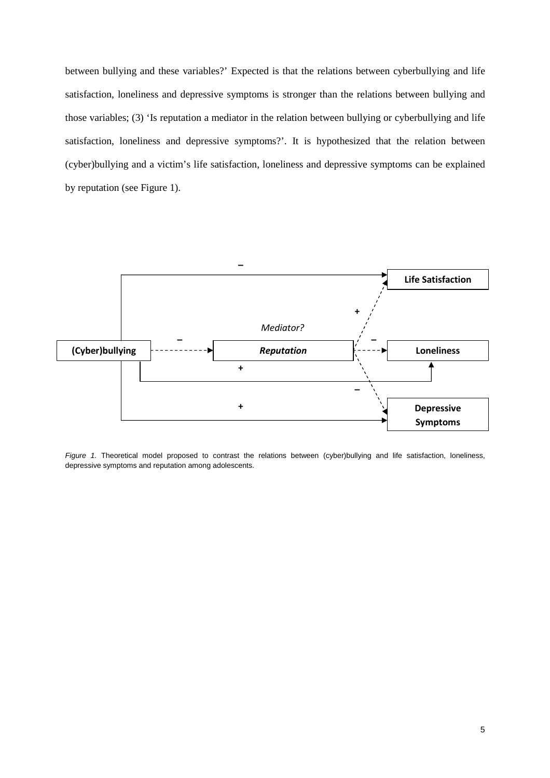between bullying and these variables?' Expected is that the relations between cyberbullying and life satisfaction, loneliness and depressive symptoms is stronger than the relations between bullying and those variables; (3) 'Is reputation a mediator in the relation between bullying or cyberbullying and life satisfaction, loneliness and depressive symptoms?'. It is hypothesized that the relation between (cyber)bullying and a victim's life satisfaction, loneliness and depressive symptoms can be explained by reputation (see Figure 1).



Figure 1. Theoretical model proposed to contrast the relations between (cyber)bullying and life satisfaction, loneliness, depressive symptoms and reputation among adolescents.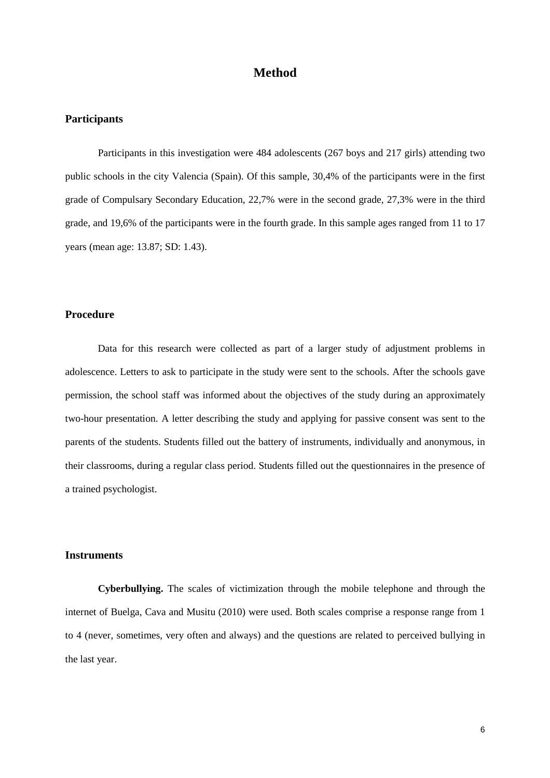# **Method**

#### **Participants**

 Participants in this investigation were 484 adolescents (267 boys and 217 girls) attending two public schools in the city Valencia (Spain). Of this sample, 30,4% of the participants were in the first grade of Compulsary Secondary Education, 22,7% were in the second grade, 27,3% were in the third grade, and 19,6% of the participants were in the fourth grade. In this sample ages ranged from 11 to 17 years (mean age: 13.87; SD: 1.43).

#### **Procedure**

Data for this research were collected as part of a larger study of adjustment problems in adolescence. Letters to ask to participate in the study were sent to the schools. After the schools gave permission, the school staff was informed about the objectives of the study during an approximately two-hour presentation. A letter describing the study and applying for passive consent was sent to the parents of the students. Students filled out the battery of instruments, individually and anonymous, in their classrooms, during a regular class period. Students filled out the questionnaires in the presence of a trained psychologist.

#### **Instruments**

**Cyberbullying.** The scales of victimization through the mobile telephone and through the internet of Buelga, Cava and Musitu (2010) were used. Both scales comprise a response range from 1 to 4 (never, sometimes, very often and always) and the questions are related to perceived bullying in the last year.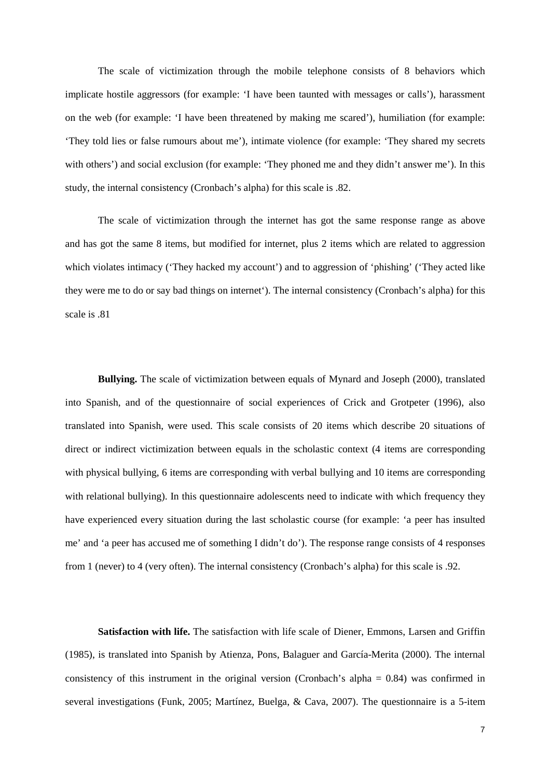The scale of victimization through the mobile telephone consists of 8 behaviors which implicate hostile aggressors (for example: 'I have been taunted with messages or calls'), harassment on the web (for example: 'I have been threatened by making me scared'), humiliation (for example: 'They told lies or false rumours about me'), intimate violence (for example: 'They shared my secrets with others') and social exclusion (for example: 'They phoned me and they didn't answer me'). In this study, the internal consistency (Cronbach's alpha) for this scale is .82.

The scale of victimization through the internet has got the same response range as above and has got the same 8 items, but modified for internet, plus 2 items which are related to aggression which violates intimacy ('They hacked my account') and to aggression of 'phishing' ('They acted like they were me to do or say bad things on internet'). The internal consistency (Cronbach's alpha) for this scale is .81

**Bullying.** The scale of victimization between equals of Mynard and Joseph (2000), translated into Spanish, and of the questionnaire of social experiences of Crick and Grotpeter (1996), also translated into Spanish, were used. This scale consists of 20 items which describe 20 situations of direct or indirect victimization between equals in the scholastic context (4 items are corresponding with physical bullying, 6 items are corresponding with verbal bullying and 10 items are corresponding with relational bullying). In this questionnaire adolescents need to indicate with which frequency they have experienced every situation during the last scholastic course (for example: 'a peer has insulted me' and 'a peer has accused me of something I didn't do'). The response range consists of 4 responses from 1 (never) to 4 (very often). The internal consistency (Cronbach's alpha) for this scale is .92.

**Satisfaction with life.** The satisfaction with life scale of Diener, Emmons, Larsen and Griffin (1985), is translated into Spanish by Atienza, Pons, Balaguer and García-Merita (2000). The internal consistency of this instrument in the original version (Cronbach's alpha = 0.84) was confirmed in several investigations (Funk, 2005; Martínez, Buelga, & Cava, 2007). The questionnaire is a 5-item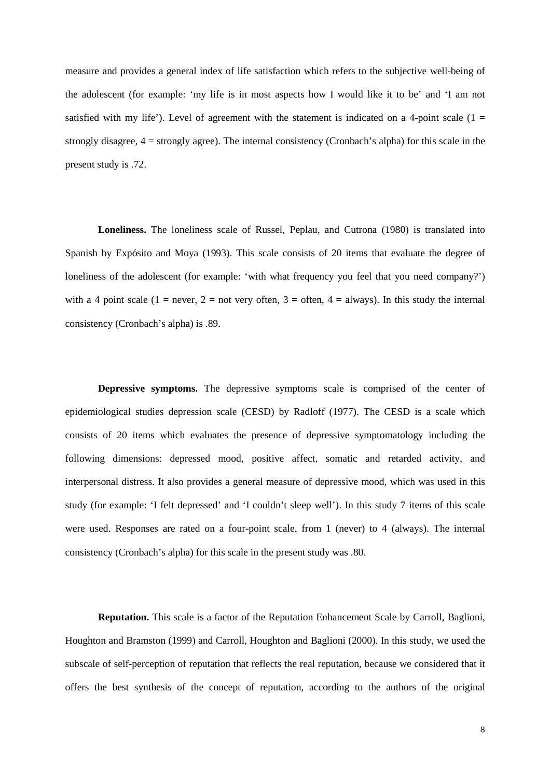measure and provides a general index of life satisfaction which refers to the subjective well-being of the adolescent (for example: 'my life is in most aspects how I would like it to be' and 'I am not satisfied with my life'). Level of agreement with the statement is indicated on a 4-point scale  $(1 =$ strongly disagree, 4 = strongly agree). The internal consistency (Cronbach's alpha) for this scale in the present study is .72.

**Loneliness.** The loneliness scale of Russel, Peplau, and Cutrona (1980) is translated into Spanish by Expósito and Moya (1993). This scale consists of 20 items that evaluate the degree of loneliness of the adolescent (for example: 'with what frequency you feel that you need company?') with a 4 point scale (1 = never, 2 = not very often, 3 = often, 4 = always). In this study the internal consistency (Cronbach's alpha) is .89.

**Depressive symptoms.** The depressive symptoms scale is comprised of the center of epidemiological studies depression scale (CESD) by Radloff (1977). The CESD is a scale which consists of 20 items which evaluates the presence of depressive symptomatology including the following dimensions: depressed mood, positive affect, somatic and retarded activity, and interpersonal distress. It also provides a general measure of depressive mood, which was used in this study (for example: 'I felt depressed' and 'I couldn't sleep well'). In this study 7 items of this scale were used. Responses are rated on a four-point scale, from 1 (never) to 4 (always). The internal consistency (Cronbach's alpha) for this scale in the present study was .80.

**Reputation.** This scale is a factor of the Reputation Enhancement Scale by Carroll, Baglioni, Houghton and Bramston (1999) and Carroll, Houghton and Baglioni (2000). In this study, we used the subscale of self-perception of reputation that reflects the real reputation, because we considered that it offers the best synthesis of the concept of reputation, according to the authors of the original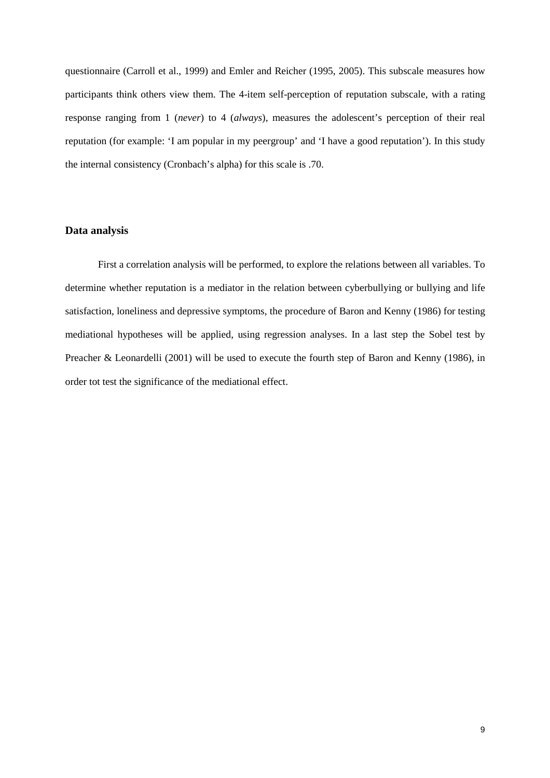questionnaire (Carroll et al., 1999) and Emler and Reicher (1995, 2005). This subscale measures how participants think others view them. The 4-item self-perception of reputation subscale, with a rating response ranging from 1 (*never*) to 4 (*always*), measures the adolescent's perception of their real reputation (for example: 'I am popular in my peergroup' and 'I have a good reputation'). In this study the internal consistency (Cronbach's alpha) for this scale is .70.

#### **Data analysis**

First a correlation analysis will be performed, to explore the relations between all variables. To determine whether reputation is a mediator in the relation between cyberbullying or bullying and life satisfaction, loneliness and depressive symptoms, the procedure of Baron and Kenny (1986) for testing mediational hypotheses will be applied, using regression analyses. In a last step the Sobel test by Preacher & Leonardelli (2001) will be used to execute the fourth step of Baron and Kenny (1986), in order tot test the significance of the mediational effect.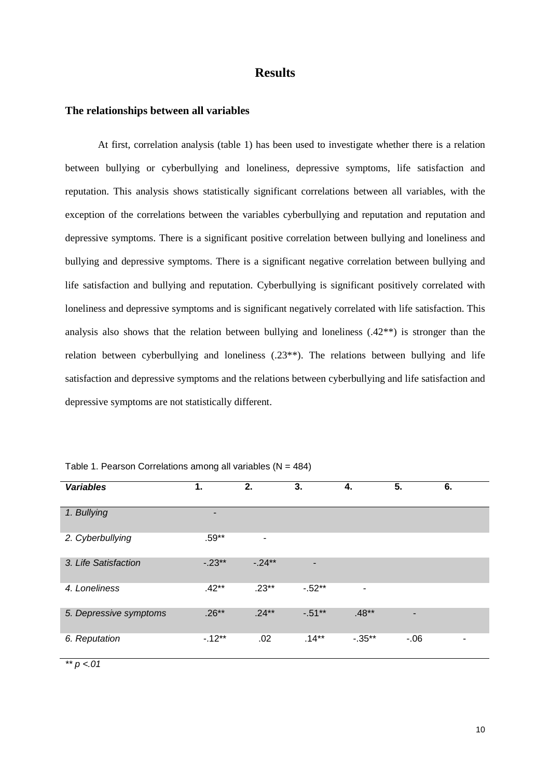## **Results**

#### **The relationships between all variables**

At first, correlation analysis (table 1) has been used to investigate whether there is a relation between bullying or cyberbullying and loneliness, depressive symptoms, life satisfaction and reputation. This analysis shows statistically significant correlations between all variables, with the exception of the correlations between the variables cyberbullying and reputation and reputation and depressive symptoms. There is a significant positive correlation between bullying and loneliness and bullying and depressive symptoms. There is a significant negative correlation between bullying and life satisfaction and bullying and reputation. Cyberbullying is significant positively correlated with loneliness and depressive symptoms and is significant negatively correlated with life satisfaction. This analysis also shows that the relation between bullying and loneliness  $(.42^{**})$  is stronger than the relation between cyberbullying and loneliness  $(.23^{**})$ . The relations between bullying and life satisfaction and depressive symptoms and the relations between cyberbullying and life satisfaction and depressive symptoms are not statistically different.

| <b>Variables</b>       | 1.       | 2.       | 3.       | 4.        | 5.    | 6.                       |
|------------------------|----------|----------|----------|-----------|-------|--------------------------|
| 1. Bullying            | -        |          |          |           |       |                          |
| 2. Cyberbullying       | $.59**$  | -        |          |           |       |                          |
| 3. Life Satisfaction   | $-.23**$ | $-.24**$ | ٠        |           |       |                          |
| 4. Loneliness          | $.42**$  | $.23**$  | $-52**$  | ۰         |       |                          |
| 5. Depressive symptoms | $.26**$  | $.24***$ | $-51**$  | $.48**$   | -     |                          |
| 6. Reputation          | $-12**$  | .02      | $.14***$ | $-0.35**$ | $-06$ | $\overline{\phantom{a}}$ |

Table 1. Pearson Correlations among all variables  $(N = 484)$ 

 $*$   $p < 01$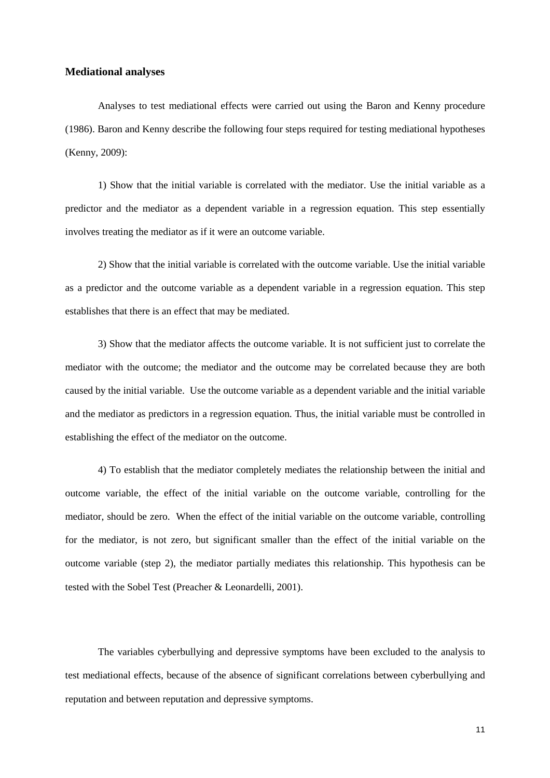#### **Mediational analyses**

Analyses to test mediational effects were carried out using the Baron and Kenny procedure (1986). Baron and Kenny describe the following four steps required for testing mediational hypotheses (Kenny, 2009):

1) Show that the initial variable is correlated with the mediator. Use the initial variable as a predictor and the mediator as a dependent variable in a regression equation. This step essentially involves treating the mediator as if it were an outcome variable.

2) Show that the initial variable is correlated with the outcome variable. Use the initial variable as a predictor and the outcome variable as a dependent variable in a regression equation. This step establishes that there is an effect that may be mediated.

3) Show that the mediator affects the outcome variable. It is not sufficient just to correlate the mediator with the outcome; the mediator and the outcome may be correlated because they are both caused by the initial variable. Use the outcome variable as a dependent variable and the initial variable and the mediator as predictors in a regression equation. Thus, the initial variable must be controlled in establishing the effect of the mediator on the outcome.

4) To establish that the mediator completely mediates the relationship between the initial and outcome variable, the effect of the initial variable on the outcome variable, controlling for the mediator, should be zero. When the effect of the initial variable on the outcome variable, controlling for the mediator, is not zero, but significant smaller than the effect of the initial variable on the outcome variable (step 2), the mediator partially mediates this relationship. This hypothesis can be tested with the Sobel Test (Preacher & Leonardelli, 2001).

The variables cyberbullying and depressive symptoms have been excluded to the analysis to test mediational effects, because of the absence of significant correlations between cyberbullying and reputation and between reputation and depressive symptoms.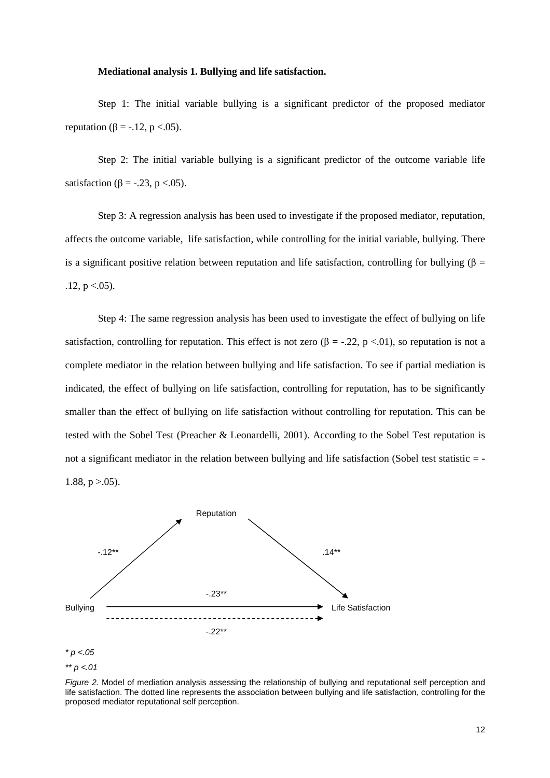#### **Mediational analysis 1. Bullying and life satisfaction.**

Step 1: The initial variable bullying is a significant predictor of the proposed mediator reputation ( $\beta = -.12$ , p <.05).

Step 2: The initial variable bullying is a significant predictor of the outcome variable life satisfaction ( $\beta$  = -.23, p <.05).

Step 3: A regression analysis has been used to investigate if the proposed mediator, reputation, affects the outcome variable, life satisfaction, while controlling for the initial variable, bullying. There is a significant positive relation between reputation and life satisfaction, controlling for bullying ( $\beta$  =  $.12, p < .05$ ).

Step 4: The same regression analysis has been used to investigate the effect of bullying on life satisfaction, controlling for reputation. This effect is not zero  $(\beta = -.22, p < .01)$ , so reputation is not a complete mediator in the relation between bullying and life satisfaction. To see if partial mediation is indicated, the effect of bullying on life satisfaction, controlling for reputation, has to be significantly smaller than the effect of bullying on life satisfaction without controlling for reputation. This can be tested with the Sobel Test (Preacher & Leonardelli, 2001). According to the Sobel Test reputation is not a significant mediator in the relation between bullying and life satisfaction (Sobel test statistic = - 1.88,  $p > .05$ ).



\*\*  $p < .01$ 

Figure 2. Model of mediation analysis assessing the relationship of bullying and reputational self perception and life satisfaction. The dotted line represents the association between bullying and life satisfaction, controlling for the proposed mediator reputational self perception.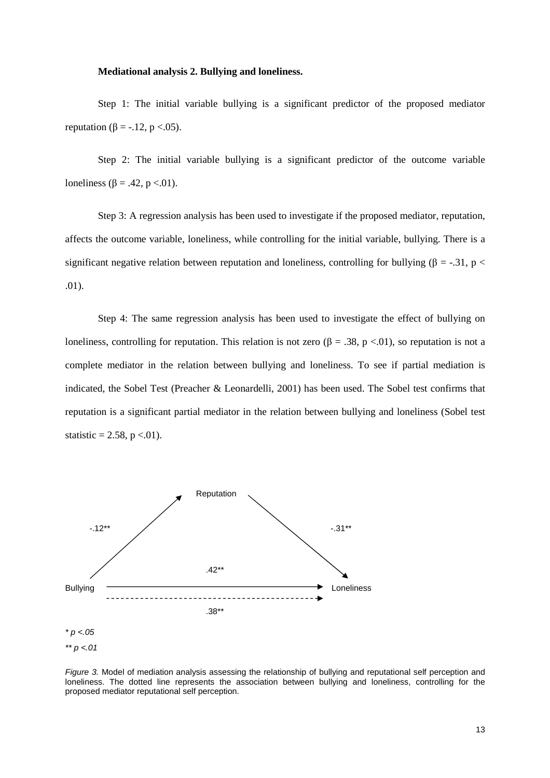#### **Mediational analysis 2. Bullying and loneliness.**

Step 1: The initial variable bullying is a significant predictor of the proposed mediator reputation ( $\beta = -.12$ , p <.05).

Step 2: The initial variable bullying is a significant predictor of the outcome variable loneliness ( $\beta$  = .42, p <.01).

Step 3: A regression analysis has been used to investigate if the proposed mediator, reputation, affects the outcome variable, loneliness, while controlling for the initial variable, bullying. There is a significant negative relation between reputation and loneliness, controlling for bullying ( $\beta$  = -.31, p < .01).

Step 4: The same regression analysis has been used to investigate the effect of bullying on loneliness, controlling for reputation. This relation is not zero  $(\beta = .38, p < .01)$ , so reputation is not a complete mediator in the relation between bullying and loneliness. To see if partial mediation is indicated, the Sobel Test (Preacher & Leonardelli, 2001) has been used. The Sobel test confirms that reputation is a significant partial mediator in the relation between bullying and loneliness (Sobel test statistic = 2.58,  $p < 01$ ).



Figure 3. Model of mediation analysis assessing the relationship of bullying and reputational self perception and loneliness. The dotted line represents the association between bullying and loneliness, controlling for the proposed mediator reputational self perception.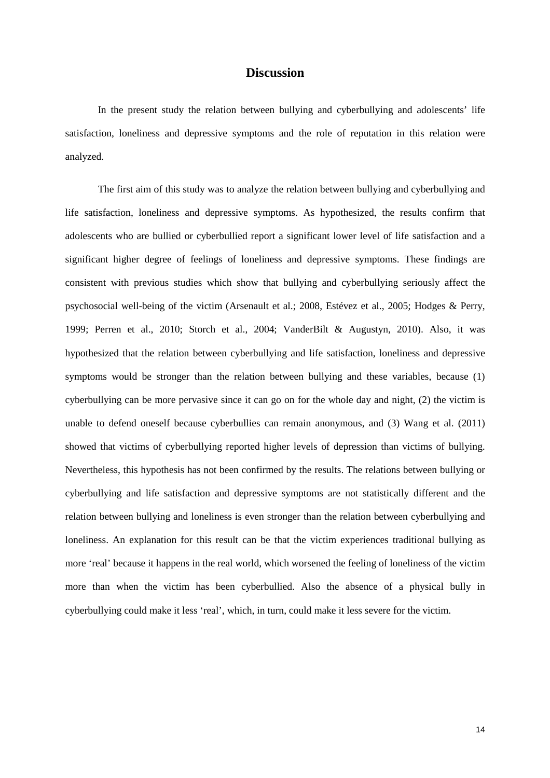# **Discussion**

In the present study the relation between bullying and cyberbullying and adolescents' life satisfaction, loneliness and depressive symptoms and the role of reputation in this relation were analyzed.

The first aim of this study was to analyze the relation between bullying and cyberbullying and life satisfaction, loneliness and depressive symptoms. As hypothesized, the results confirm that adolescents who are bullied or cyberbullied report a significant lower level of life satisfaction and a significant higher degree of feelings of loneliness and depressive symptoms. These findings are consistent with previous studies which show that bullying and cyberbullying seriously affect the psychosocial well-being of the victim (Arsenault et al.; 2008, Estévez et al., 2005; Hodges & Perry, 1999; Perren et al., 2010; Storch et al., 2004; VanderBilt & Augustyn, 2010). Also, it was hypothesized that the relation between cyberbullying and life satisfaction, loneliness and depressive symptoms would be stronger than the relation between bullying and these variables, because (1) cyberbullying can be more pervasive since it can go on for the whole day and night, (2) the victim is unable to defend oneself because cyberbullies can remain anonymous, and (3) Wang et al. (2011) showed that victims of cyberbullying reported higher levels of depression than victims of bullying. Nevertheless, this hypothesis has not been confirmed by the results. The relations between bullying or cyberbullying and life satisfaction and depressive symptoms are not statistically different and the relation between bullying and loneliness is even stronger than the relation between cyberbullying and loneliness. An explanation for this result can be that the victim experiences traditional bullying as more 'real' because it happens in the real world, which worsened the feeling of loneliness of the victim more than when the victim has been cyberbullied. Also the absence of a physical bully in cyberbullying could make it less 'real', which, in turn, could make it less severe for the victim.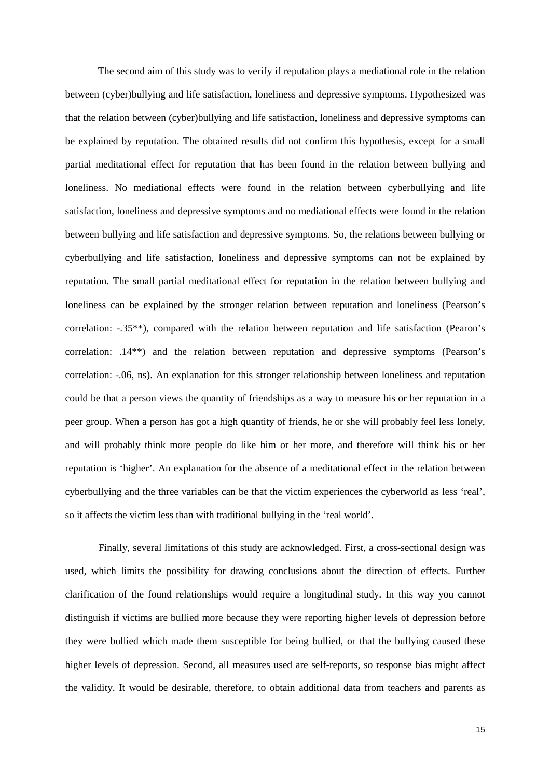The second aim of this study was to verify if reputation plays a mediational role in the relation between (cyber)bullying and life satisfaction, loneliness and depressive symptoms. Hypothesized was that the relation between (cyber)bullying and life satisfaction, loneliness and depressive symptoms can be explained by reputation. The obtained results did not confirm this hypothesis, except for a small partial meditational effect for reputation that has been found in the relation between bullying and loneliness. No mediational effects were found in the relation between cyberbullying and life satisfaction, loneliness and depressive symptoms and no mediational effects were found in the relation between bullying and life satisfaction and depressive symptoms. So, the relations between bullying or cyberbullying and life satisfaction, loneliness and depressive symptoms can not be explained by reputation. The small partial meditational effect for reputation in the relation between bullying and loneliness can be explained by the stronger relation between reputation and loneliness (Pearson's correlation: -.35\*\*), compared with the relation between reputation and life satisfaction (Pearon's correlation: .14\*\*) and the relation between reputation and depressive symptoms (Pearson's correlation: -.06, ns). An explanation for this stronger relationship between loneliness and reputation could be that a person views the quantity of friendships as a way to measure his or her reputation in a peer group. When a person has got a high quantity of friends, he or she will probably feel less lonely, and will probably think more people do like him or her more, and therefore will think his or her reputation is 'higher'. An explanation for the absence of a meditational effect in the relation between cyberbullying and the three variables can be that the victim experiences the cyberworld as less 'real', so it affects the victim less than with traditional bullying in the 'real world'.

Finally, several limitations of this study are acknowledged. First, a cross-sectional design was used, which limits the possibility for drawing conclusions about the direction of effects. Further clarification of the found relationships would require a longitudinal study. In this way you cannot distinguish if victims are bullied more because they were reporting higher levels of depression before they were bullied which made them susceptible for being bullied, or that the bullying caused these higher levels of depression. Second, all measures used are self-reports, so response bias might affect the validity. It would be desirable, therefore, to obtain additional data from teachers and parents as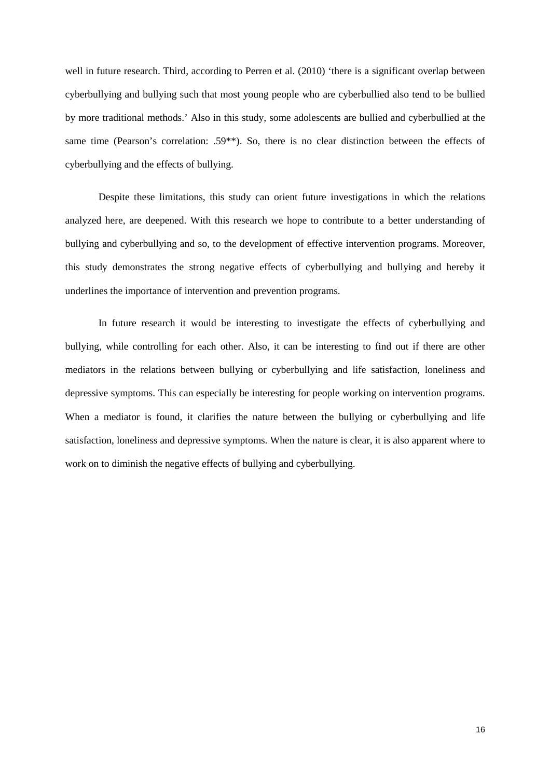well in future research. Third, according to Perren et al. (2010) 'there is a significant overlap between cyberbullying and bullying such that most young people who are cyberbullied also tend to be bullied by more traditional methods.' Also in this study, some adolescents are bullied and cyberbullied at the same time (Pearson's correlation: .59<sup>\*\*</sup>). So, there is no clear distinction between the effects of cyberbullying and the effects of bullying.

Despite these limitations, this study can orient future investigations in which the relations analyzed here, are deepened. With this research we hope to contribute to a better understanding of bullying and cyberbullying and so, to the development of effective intervention programs. Moreover, this study demonstrates the strong negative effects of cyberbullying and bullying and hereby it underlines the importance of intervention and prevention programs.

In future research it would be interesting to investigate the effects of cyberbullying and bullying, while controlling for each other. Also, it can be interesting to find out if there are other mediators in the relations between bullying or cyberbullying and life satisfaction, loneliness and depressive symptoms. This can especially be interesting for people working on intervention programs. When a mediator is found, it clarifies the nature between the bullying or cyberbullying and life satisfaction, loneliness and depressive symptoms. When the nature is clear, it is also apparent where to work on to diminish the negative effects of bullying and cyberbullying.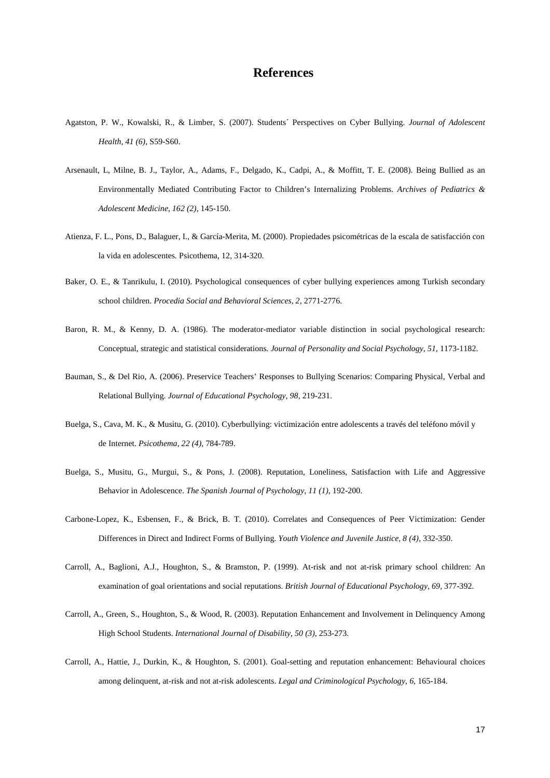# **References**

- Agatston, P. W., Kowalski, R., & Limber, S. (2007). Students´ Perspectives on Cyber Bullying. *Journal of Adolescent Health, 41 (6),* S59-S60.
- Arsenault, L, Milne, B. J., Taylor, A., Adams, F., Delgado, K., Cadpi, A., & Moffitt, T. E. (2008). Being Bullied as an Environmentally Mediated Contributing Factor to Children's Internalizing Problems. *Archives of Pediatrics & Adolescent Medicine, 162 (2),* 145-150.
- Atienza, F. L., Pons, D., Balaguer, I., & García-Merita, M. (2000). Propiedades psicométricas de la escala de satisfacción con la vida en adolescentes*.* Psicothema, 12, 314-320.
- Baker, O. E., & Tanrikulu, I. (2010). Psychological consequences of cyber bullying experiences among Turkish secondary school children. *Procedia Social and Behavioral Sciences, 2,* 2771-2776.
- Baron, R. M., & Kenny, D. A. (1986). The moderator-mediator variable distinction in social psychological research: Conceptual, strategic and statistical considerations. *Journal of Personality and Social Psychology, 51*, 1173-1182.
- Bauman, S., & Del Rio, A. (2006). Preservice Teachers' Responses to Bullying Scenarios: Comparing Physical, Verbal and Relational Bullying. *Journal of Educational Psychology, 98,* 219-231.
- Buelga, S., Cava, M. K., & Musitu, G. (2010). Cyberbullying: victimización entre adolescents a través del teléfono móvil y de Internet. *Psicothema, 22 (4),* 784-789.
- Buelga, S., Musitu, G., Murgui, S., & Pons, J. (2008). Reputation, Loneliness, Satisfaction with Life and Aggressive Behavior in Adolescence. *The Spanish Journal of Psychology, 11 (1),* 192-200.
- Carbone-Lopez, K., Esbensen, F., & Brick, B. T. (2010). Correlates and Consequences of Peer Victimization: Gender Differences in Direct and Indirect Forms of Bullying. *Youth Violence and Juvenile Justice, 8 (4),* 332-350.
- Carroll, A., Baglioni, A.J., Houghton, S., & Bramston, P. (1999). At-risk and not at-risk primary school children: An examination of goal orientations and social reputations. *British Journal of Educational Psychology, 69*, 377-392.
- Carroll, A., Green, S., Houghton, S., & Wood, R. (2003). Reputation Enhancement and Involvement in Delinquency Among High School Students. *International Journal of Disability, 50 (3),* 253-273.
- Carroll, A., Hattie, J., Durkin, K., & Houghton, S. (2001). Goal-setting and reputation enhancement: Behavioural choices among delinquent, at-risk and not at-risk adolescents. *Legal and Criminological Psychology, 6,* 165-184.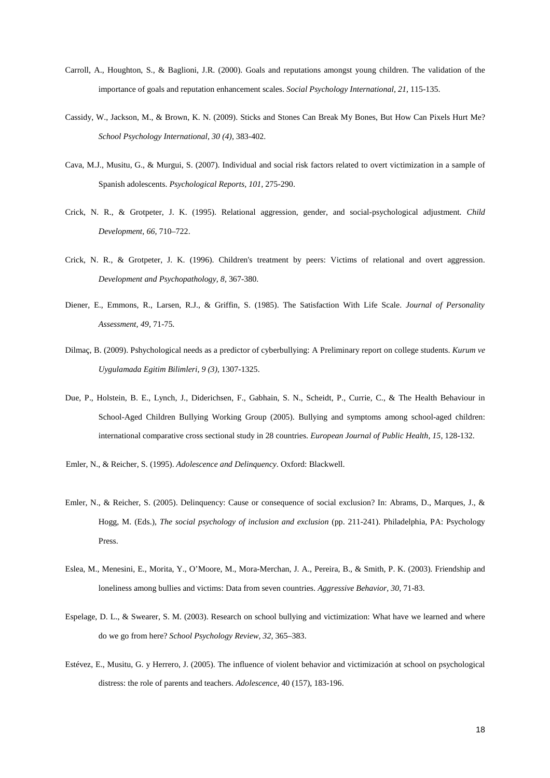- Carroll, A., Houghton, S., & Baglioni, J.R. (2000). Goals and reputations amongst young children. The validation of the importance of goals and reputation enhancement scales. *Social Psychology International, 21*, 115-135.
- Cassidy, W., Jackson, M., & Brown, K. N. (2009). Sticks and Stones Can Break My Bones, But How Can Pixels Hurt Me? *School Psychology International, 30 (4),* 383-402.
- Cava, M.J., Musitu, G., & Murgui, S. (2007). Individual and social risk factors related to overt victimization in a sample of Spanish adolescents. *Psychological Reports, 101,* 275-290.
- Crick, N. R., & Grotpeter, J. K. (1995). Relational aggression, gender, and social-psychological adjustment*. Child Development, 66,* 710–722.
- Crick, N. R., & Grotpeter, J. K. (1996). Children's treatment by peers: Victims of relational and overt aggression. *Development and Psychopathology, 8,* 367-380.
- Diener, E., Emmons, R., Larsen, R.J., & Griffin, S. (1985). The Satisfaction With Life Scale. *Journal of Personality Assessment, 49,* 71-75.
- Dilmaç, B. (2009). Pshychological needs as a predictor of cyberbullying: A Preliminary report on college students. *Kurum ve Uygulamada Egitim Bilimleri, 9 (3),* 1307-1325.
- Due, P., Holstein, B. E., Lynch, J., Diderichsen, F., Gabhain, S. N., Scheidt, P., Currie, C., & The Health Behaviour in School-Aged Children Bullying Working Group (2005). Bullying and symptoms among school-aged children: international comparative cross sectional study in 28 countries. *European Journal of Public Health, 15,* 128-132.
- Emler, N., & Reicher, S. (1995). *Adolescence and Delinquency*. Oxford: Blackwell.
- Emler, N., & Reicher, S. (2005). Delinquency: Cause or consequence of social exclusion? In: Abrams, D., Marques, J., & Hogg, M. (Eds.), *The social psychology of inclusion and exclusion* (pp. 211-241). Philadelphia, PA: Psychology Press.
- Eslea, M., Menesini, E., Morita, Y., O'Moore, M., Mora-Merchan, J. A., Pereira, B., & Smith, P. K. (2003). Friendship and loneliness among bullies and victims: Data from seven countries. *Aggressive Behavior, 30*, 71-83.
- Espelage, D. L., & Swearer, S. M. (2003). Research on school bullying and victimization: What have we learned and where do we go from here? *School Psychology Review, 32,* 365–383.
- Estévez, E., Musitu, G. y Herrero, J. (2005). The influence of violent behavior and victimización at school on psychological distress: the role of parents and teachers. *Adolescence*, 40 (157), 183-196.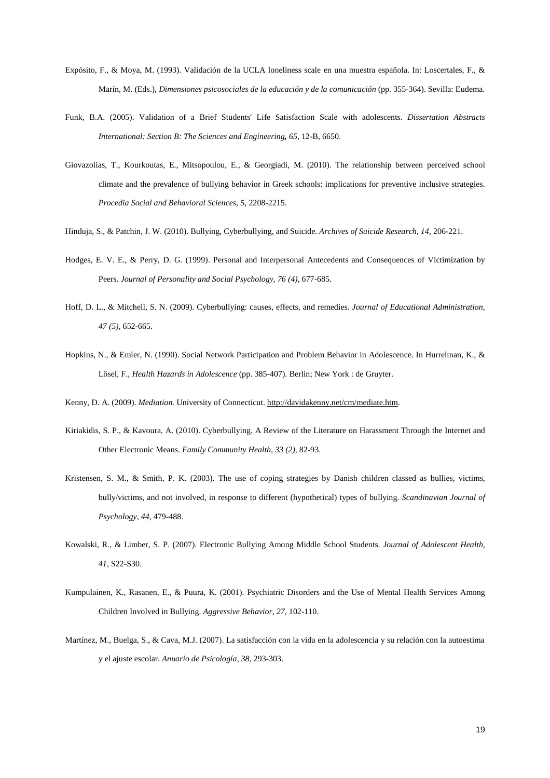- Expósito, F., & Moya, M. (1993). Validación de la UCLA loneliness scale en una muestra española. In: Loscertales, F., & Marín, M. (Eds.), *Dimensiones psicosociales de la educación y de la comunicación* (pp. 355-364). Sevilla: Eudema.
- Funk*,* B.A. (2005). Validation of a Brief Students' Life Satisfaction Scale with adolescents. *Dissertation Abstracts International: Section B: The Sciences and Engineering, 65*, 12-B, 6650.
- Giovazolias, T., Kourkoutas, E., Mitsopoulou, E., & Georgiadi, M. (2010). The relationship between perceived school climate and the prevalence of bullying behavior in Greek schools: implications for preventive inclusive strategies. *Procedia Social and Behavioral Sciences, 5,* 2208-2215.
- Hinduja, S., & Patchin, J. W. (2010). Bullying, Cyberbullying, and Suicide. *Archives of Suicide Research, 14,* 206-221.
- Hodges, E. V. E., & Perry, D. G. (1999). Personal and Interpersonal Antecedents and Consequences of Victimization by Peers. *Journal of Personality and Social Psychology, 76 (4),* 677-685.
- Hoff, D. L., & Mitchell, S. N. (2009). Cyberbullying: causes, effects, and remedies. *Journal of Educational Administration, 47 (5),* 652-665.
- Hopkins, N., & Emler, N. (1990). Social Network Participation and Problem Behavior in Adolescence. In Hurrelman, K., & Lösel, F., *Health Hazards in Adolescence* (pp. 385-407). Berlin; New York : de Gruyter.

Kenny, D. A. (2009). *Mediation.* University of Connecticut. http://davidakenny.net/cm/mediate.htm.

- Kiriakidis, S. P., & Kavoura, A. (2010). Cyberbullying. A Review of the Literature on Harassment Through the Internet and Other Electronic Means. *Family Community Health, 33 (2),* 82-93.
- Kristensen, S. M., & Smith, P. K. (2003). The use of coping strategies by Danish children classed as bullies, victims, bully/victims, and not involved, in response to different (hypothetical) types of bullying. *Scandinavian Journal of Psychology, 44,* 479-488.
- Kowalski, R., & Limber, S. P. (2007). Electronic Bullying Among Middle School Students. *Journal of Adolescent Health, 41,* S22-S30.
- Kumpulainen, K., Rasanen, E., & Puura, K. (2001). Psychiatric Disorders and the Use of Mental Health Services Among Children Involved in Bullying. *Aggressive Behavior, 27,* 102-110.
- Martínez, M., Buelga, S., & Cava, M.J. (2007). La satisfacción con la vida en la adolescencia y su relación con la autoestima y el ajuste escolar. *Anuario de Psicología, 38,* 293-303.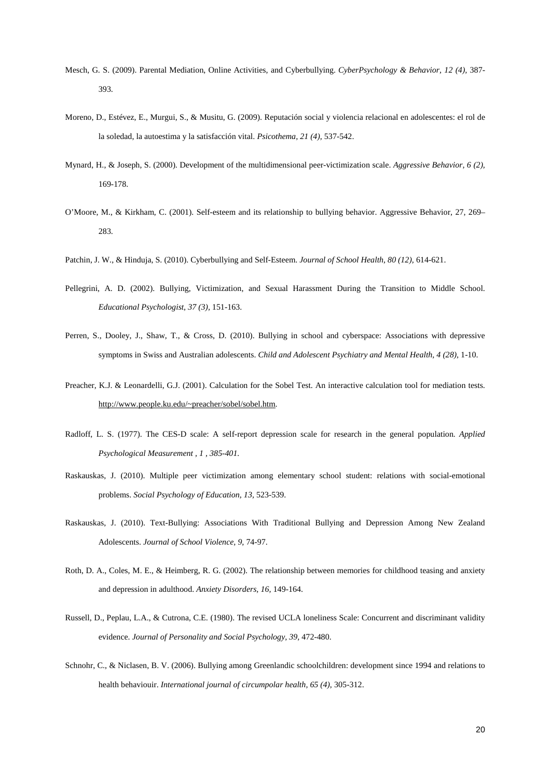- Mesch, G. S. (2009). Parental Mediation, Online Activities, and Cyberbullying. *CyberPsychology & Behavior, 12 (4),* 387- 393.
- Moreno, D., Estévez, E., Murgui, S., & Musitu, G. (2009). Reputación social y violencia relacional en adolescentes: el rol de la soledad, la autoestima y la satisfacción vital. *Psicothema, 21 (4),* 537-542.
- Mynard, H., & Joseph, S. (2000). Development of the multidimensional peer-victimization scale. *Aggressive Behavior, 6 (2),*  169-178.
- O'Moore, M., & Kirkham, C. (2001). Self-esteem and its relationship to bullying behavior. Aggressive Behavior, 27, 269– 283.
- Patchin, J. W., & Hinduja, S. (2010). Cyberbullying and Self-Esteem. *Journal of School Health, 80 (12),* 614-621.
- Pellegrini, A. D. (2002). Bullying, Victimization, and Sexual Harassment During the Transition to Middle School. *Educational Psychologist, 37 (3),* 151-163.
- Perren, S., Dooley, J., Shaw, T., & Cross, D. (2010). Bullying in school and cyberspace: Associations with depressive symptoms in Swiss and Australian adolescents. *Child and Adolescent Psychiatry and Mental Health, 4 (28),* 1-10.
- Preacher, K.J. & Leonardelli, G.J. (2001). Calculation for the Sobel Test. An interactive calculation tool for mediation tests. http://www.people.ku.edu/~preacher/sobel/sobel.htm.
- Radloff, L. S. (1977). The CES-D scale: A self-report depression scale for research in the general population*. Applied Psychological Measurement , 1 , 385-401.*
- Raskauskas, J. (2010). Multiple peer victimization among elementary school student: relations with social-emotional problems. *Social Psychology of Education, 13,* 523-539.
- Raskauskas, J. (2010). Text-Bullying: Associations With Traditional Bullying and Depression Among New Zealand Adolescents. *Journal of School Violence, 9,* 74-97.
- Roth, D. A., Coles, M. E., & Heimberg, R. G. (2002). The relationship between memories for childhood teasing and anxiety and depression in adulthood. *Anxiety Disorders, 16,* 149-164.
- Russell, D., Peplau, L.A., & Cutrona, C.E. (1980). The revised UCLA loneliness Scale: Concurrent and discriminant validity evidence. *Journal of Personality and Social Psychology, 39,* 472-480.
- Schnohr, C., & Niclasen, B. V. (2006). Bullying among Greenlandic schoolchildren: development since 1994 and relations to health behaviouir. *International journal of circumpolar health, 65 (4),* 305-312.